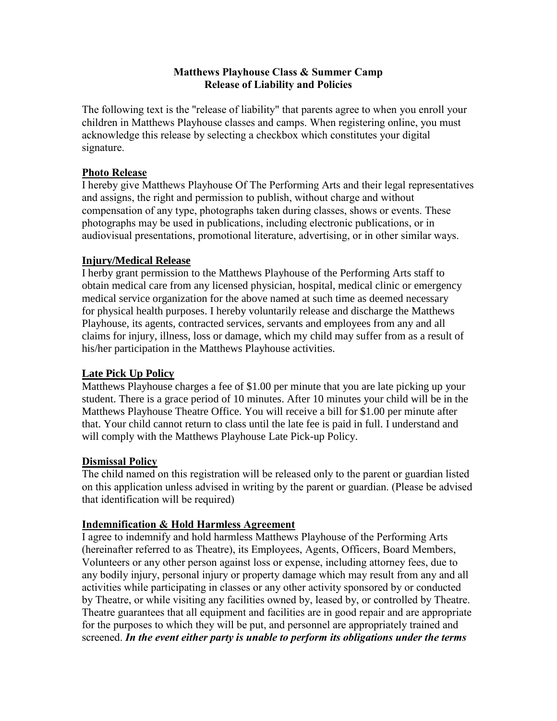## **Matthews Playhouse Class & Summer Camp Release of Liability and Policies**

The following text is the "release of liability" that parents agree to when you enroll your children in Matthews Playhouse classes and camps. When registering online, you must acknowledge this release by selecting a checkbox which constitutes your digital signature.

### **Photo Release**

I hereby give Matthews Playhouse Of The Performing Arts and their legal representatives and assigns, the right and permission to publish, without charge and without compensation of any type, photographs taken during classes, shows or events. These photographs may be used in publications, including electronic publications, or in audiovisual presentations, promotional literature, advertising, or in other similar ways.

## **Injury/Medical Release**

I herby grant permission to the Matthews Playhouse of the Performing Arts staff to obtain medical care from any licensed physician, hospital, medical clinic or emergency medical service organization for the above named at such time as deemed necessary for physical health purposes. I hereby voluntarily release and discharge the Matthews Playhouse, its agents, contracted services, servants and employees from any and all claims for injury, illness, loss or damage, which my child may suffer from as a result of his/her participation in the Matthews Playhouse activities.

# **Late Pick Up Policy**

Matthews Playhouse charges a fee of \$1.00 per minute that you are late picking up your student. There is a grace period of 10 minutes. After 10 minutes your child will be in the Matthews Playhouse Theatre Office. You will receive a bill for \$1.00 per minute after that. Your child cannot return to class until the late fee is paid in full. I understand and will comply with the Matthews Playhouse Late Pick-up Policy.

# **Dismissal Policy**

The child named on this registration will be released only to the parent or guardian listed on this application unless advised in writing by the parent or guardian. (Please be advised that identification will be required)

#### **Indemnification & Hold Harmless Agreement**

I agree to indemnify and hold harmless Matthews Playhouse of the Performing Arts (hereinafter referred to as Theatre), its Employees, Agents, Officers, Board Members, Volunteers or any other person against loss or expense, including attorney fees, due to any bodily injury, personal injury or property damage which may result from any and all activities while participating in classes or any other activity sponsored by or conducted by Theatre, or while visiting any facilities owned by, leased by, or controlled by Theatre. Theatre guarantees that all equipment and facilities are in good repair and are appropriate for the purposes to which they will be put, and personnel are appropriately trained and screened. *In the event either party is unable to perform its obligations under the terms*